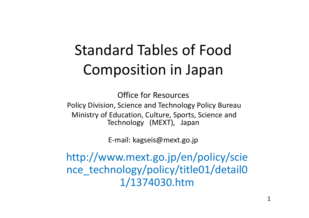## Standard Tables of Food Composition in Japan

Office for Resources Policy Division, Science and Technology Policy Bureau Ministry of Education, Culture, Sports, Science and Technology (MEXT), Japan

E-mail: kagseis@mext.go.jp

http://www.mext.go.jp/en/policy/scie nce\_technology/policy/title01/detail0 1/1374030.htm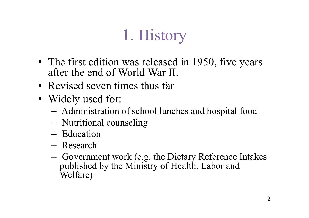# 1. History

- The first edition was released in 1950, five years after the end of World War II.
- Revised seven times thus far
- Widely used for:
	- Administration of school lunches and hospital food
	- Nutritional counseling
	- Education
	- Research
	- Government work (e.g. the Dietary Reference Intakes published by the Ministry of Health, Labor and Welfare)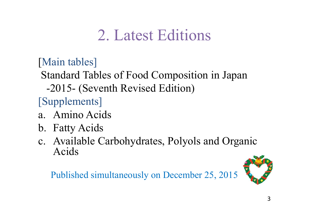#### 2. Latest Editions

[Main tables]

Standard Tables of Food Composition in Japan

-2015- (Seventh Revised Edition)

[Supplements]

- a. Amino Acids
- b. Fatty Acids
- c. Available Carbohydrates, Polyols and Organic Acids

Published simultaneously on December 25, 2015

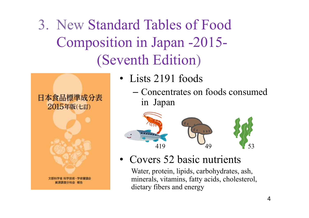3. New Standard Tables of Food Composition in Japan -2015- (Seventh Edition)

- 日本食品標準成分表 2015年版(七訂)
- Lists 2191 foods
	- Concentrates on foods consumed in Japan



• Covers 52 basic nutrients

Water, protein, lipids, carbohydrates, ash, minerals, vitamins, fatty acids, cholesterol, dietary fibers and energy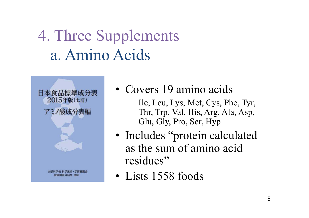### 4. Three Supplements a. Amino Acids



- Covers 19 amino acids
	- Ile, Leu, Lys, Met, Cys, Phe, Tyr, Thr, Trp, Val, His, Arg, Ala, Asp, Glu, Gly, Pro, Ser, Hyp
- Includes "protein calculated" as the sum of amino acid residues"
- Lists 1558 foods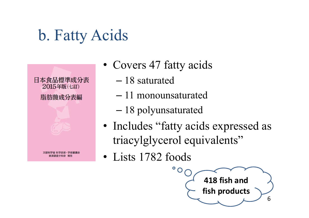#### b. Fatty Acids



- Covers 47 fatty acids
	- 18 saturated
	- 11 monounsaturated
	- 18 polyunsaturated
- Includes "fatty acids expressed as triacylglycerol equivalents"
- Lists 1782 foods

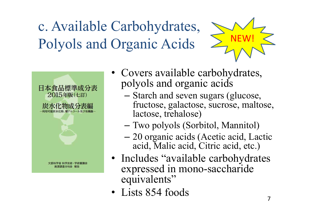c. Available Carbohydrates, Polyols and Organic Acids





- Covers available carbohydrates, polyols and organic acids
	- Starch and seven sugars (glucose, fructose, galactose, sucrose, maltose, lactose, trehalose)
	- Two polyols (Sorbitol, Mannitol)
	- 20 organic acids (Acetic acid, Lactic acid, Malic acid, Citric acid, etc.)
- Includes "available carbohydrates expressed in mono-saccharide equivalents"
- Lists 854 foods